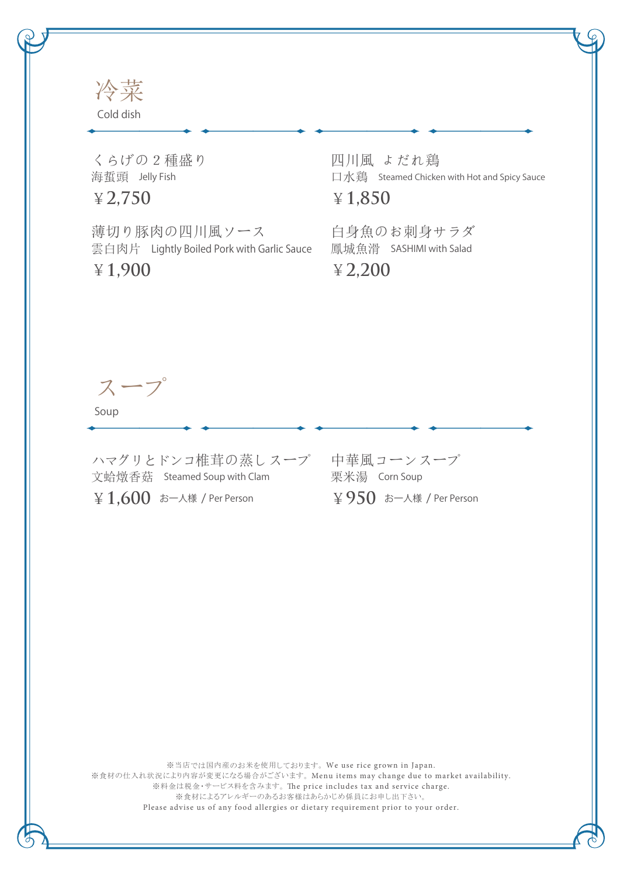

くらげの2種盛り 海蜇頭 Jelly Fish

¥**2,750**

薄切り豚肉の四川風ソース 雲白肉片 Lightly Boiled Pork with Garlic Sauce ¥**1,900**

四川風 よだれ鶏 口水鶏 Steamed Chicken with Hot and Spicy Sauce

¥**1,850**

白身魚のお刺身サラダ 鳳城魚滑 SASHIMI with Salad

¥**2,200**

スープ

Soup

ハマグリとドンコ椎茸の蒸しスープ 中華風コーンスープ 文蛤燉香菇 Steamed Soup with Clam ¥**1,600** お一人様 / Per Person

栗米湯 Corn Soup ¥**950** お一人様 / Per Person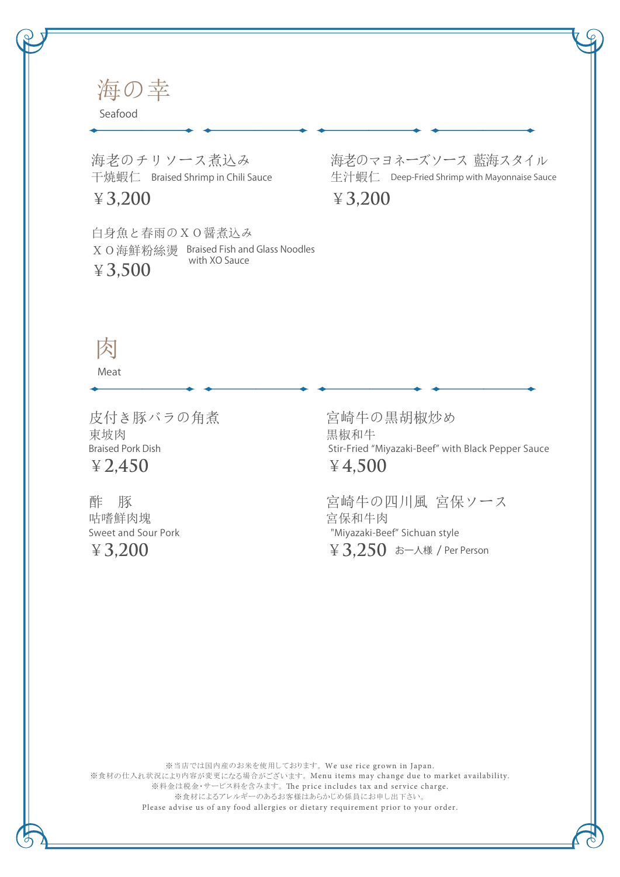海の幸

Seafood

海老のチリソース煮込み 干焼蝦仁 Braised Shrimp in Chili Sauce

¥**3,200**

白身魚と春雨のXO醤煮込み XO海鮮粉絲燙 Braised Fish and Glass Noodles ¥**3,500** with XO Sauce

海老のマヨネーズソース 藍海スタイル 生汁蝦仁 Deep-Fried Shrimp with Mayonnaise Sauce ¥**3,200**

## 肉

Meat

皮付き豚バラの角煮 ¥**2,450** Braised Pork Dish 東坡肉

酢 豚 ¥**3,200** Sweet and Sour Pork 咕嗜鮮肉塊

宮崎牛の黒胡椒炒め ¥**4,500** Stir-Fried "Miyazaki-Beef" with Black Pepper Sauce 黒椒和牛

宮崎牛の四川風 宮保ソース  $\angle 3,250$  お一人様 / Per Person "Miyazaki-Beef" Sichuan style 宮保和牛肉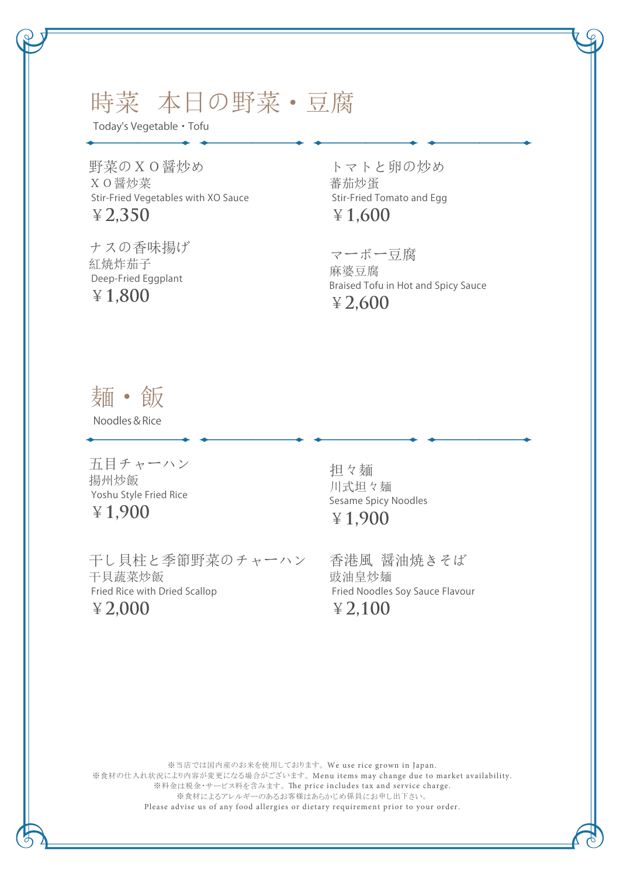## 時菜 本日の野菜・豆腐

Today's Vegetable ・ Tofu

野菜のXO醤炒め ¥**2,350** Stir-Fried Vegetables with XO Sauce XO醤炒菜

ナスの香味揚げ ¥**1,800** Deep-Fried Eggplant 紅焼炸茄子

トマトと卵の炒め ¥**1,600** Stir-Fried Tomato and Egg 蕃茄炒蛋

マーボー豆腐 ¥**2,600** Braised Tofu in Hot and Spicy Sauce 麻婆豆腐

麺・飯

Noodles&Rice

五目チャーハン Yoshu Style Fried Rice 揚州炒飯

¥**1,900**

干し貝柱と季節野菜のチャーハン ¥**2,000** Fried Rice with Dried Scallop 干貝蔬菜炒飯

担々麺 ¥**1,900** Sesame Spicy Noodles 川式坦々麺

香港風 醤油焼きそば ¥**2,100** Fried Noodles Soy Sauce Flavour 豉油皇炒麺